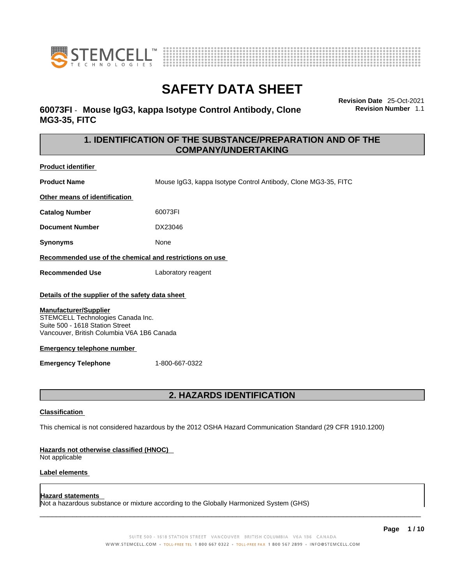



### **60073FI** - **Mouse IgG3, kappa Isotype Control Antibody, Clone MG3-35, FITC**

**Revision Date** 25-Oct-2021 **Revision Number** 1.1

### **1. IDENTIFICATION OF THE SUBSTANCE/PREPARATION AND OF THE COMPANY/UNDERTAKING**

| Product identifier                                                                                                                                                                                                                                                        |                                                                                                             |
|---------------------------------------------------------------------------------------------------------------------------------------------------------------------------------------------------------------------------------------------------------------------------|-------------------------------------------------------------------------------------------------------------|
| <b>Product Name</b>                                                                                                                                                                                                                                                       | Mouse IgG3, kappa Isotype Control Antibody, Clone MG3-35, FITC                                              |
| Other means of identification                                                                                                                                                                                                                                             |                                                                                                             |
| <b>Catalog Number</b>                                                                                                                                                                                                                                                     | 60073FI                                                                                                     |
| <b>Document Number</b>                                                                                                                                                                                                                                                    | DX23046                                                                                                     |
| Synonyms                                                                                                                                                                                                                                                                  | None                                                                                                        |
| Recommended use of the chemical and restrictions on use                                                                                                                                                                                                                   |                                                                                                             |
| <b>Recommended Use</b>                                                                                                                                                                                                                                                    | Laboratory reagent                                                                                          |
| Details of the supplier of the safety data sheet<br><b>Manufacturer/Supplier</b><br>STEMCELL Technologies Canada Inc.<br>Suite 500 - 1618 Station Street<br>Vancouver, British Columbia V6A 1B6 Canada<br><b>Emergency telephone number</b><br><b>Emergency Telephone</b> | 1-800-667-0322                                                                                              |
| 2. HAZARDS IDENTIFICATION                                                                                                                                                                                                                                                 |                                                                                                             |
| <b>Classification</b><br>Hazards not otherwise classified (HNOC)                                                                                                                                                                                                          | This chemical is not considered hazardous by the 2012 OSHA Hazard Communication Standard (29 CFR 1910.1200) |

Not applicable

I

### **Label elements**

#### **Hazard statements**

Not a hazardous substance or mixture according to the Globally Harmonized System (GHS)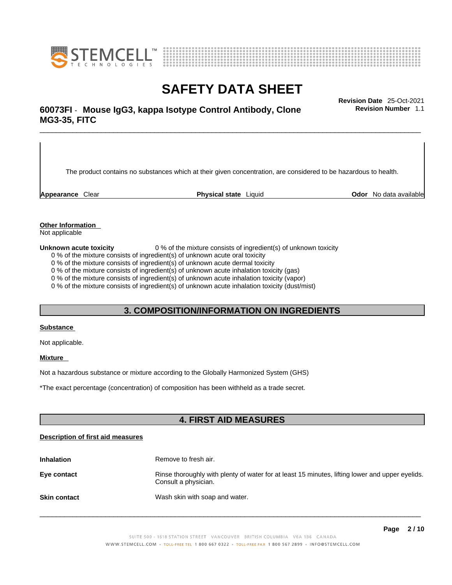



## \_\_\_\_\_\_\_\_\_\_\_\_\_\_\_\_\_\_\_\_\_\_\_\_\_\_\_\_\_\_\_\_\_\_\_\_\_\_\_\_\_\_\_\_\_\_\_\_\_\_\_\_\_\_\_\_\_\_\_\_\_\_\_\_\_\_\_\_\_\_\_\_\_\_\_\_\_\_\_\_\_\_\_\_\_\_\_\_\_\_\_\_\_ **Revision Date** 25-Oct-2021 **60073FI** - **Mouse IgG3, kappa Isotype Control Antibody, Clone MG3-35, FITC**

The product contains no substances which at their given concentration, are considered to be hazardous to health.

**Appearance** Clear **Physical state** Liquid **Odor** No data available

**Revision Number** 1.1

**Other Information** 

Not applicable

**Unknown acute toxicity** 0 % of the mixture consists of ingredient(s) of unknown toxicity

0 % of the mixture consists of ingredient(s) of unknown acute oral toxicity

0 % of the mixture consists of ingredient(s) of unknown acute dermal toxicity

0 % of the mixture consists of ingredient(s) of unknown acute inhalation toxicity (gas)

0 % of the mixture consists of ingredient(s) of unknown acute inhalation toxicity (vapor)

0 % of the mixture consists of ingredient(s) of unknown acute inhalation toxicity (dust/mist)

### **3. COMPOSITION/INFORMATION ON INGREDIENTS**

#### **Substance**

Not applicable.

#### **Mixture**

Not a hazardous substance or mixture according to the Globally Harmonized System (GHS)

\*The exact percentage (concentration) ofcomposition has been withheld as a trade secret.

### **4. FIRST AID MEASURES**

#### **Description of first aid measures**

| <b>Inhalation</b>   | Remove to fresh air.                                                                                                    |
|---------------------|-------------------------------------------------------------------------------------------------------------------------|
| Eye contact         | Rinse thoroughly with plenty of water for at least 15 minutes, lifting lower and upper eyelids.<br>Consult a physician. |
| <b>Skin contact</b> | Wash skin with soap and water.                                                                                          |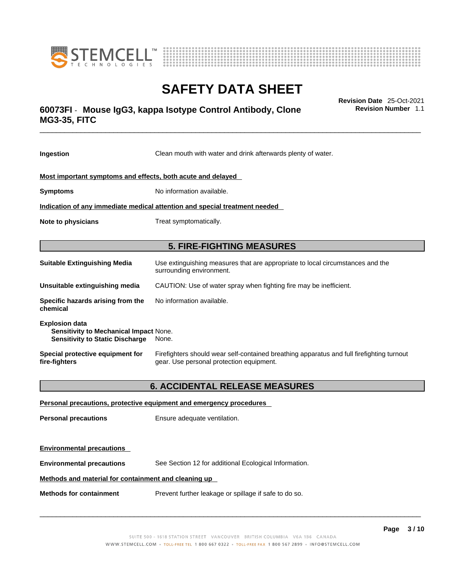



## \_\_\_\_\_\_\_\_\_\_\_\_\_\_\_\_\_\_\_\_\_\_\_\_\_\_\_\_\_\_\_\_\_\_\_\_\_\_\_\_\_\_\_\_\_\_\_\_\_\_\_\_\_\_\_\_\_\_\_\_\_\_\_\_\_\_\_\_\_\_\_\_\_\_\_\_\_\_\_\_\_\_\_\_\_\_\_\_\_\_\_\_\_ **Revision Date** 25-Oct-2021 **60073FI** - **Mouse IgG3, kappa Isotype Control Antibody, Clone MG3-35, FITC**

**Ingestion** Clean mouth with water and drink afterwards plenty of water. **Most important symptoms and effects, both acute and delayed Symptoms** No information available. **Indication of any immediate medical attention and special treatment needed Note to physicians** Treat symptomatically. **5. FIRE-FIGHTING MEASURES Suitable Extinguishing Media** Use extinguishing measures that are appropriate to local circumstances and the surrounding environment. **Unsuitable extinguishing media** CAUTION: Use of water spray when fighting fire may be inefficient. **Specific hazards arising from the chemical** No information available. **Explosion data Sensitivity to Mechanical Impact** None. **Sensitivity to Static Discharge** None. **Special protective equipment for fire-fighters** Firefighters should wear self-contained breathing apparatus and full firefighting turnout gear. Use personal protection equipment. **6. ACCIDENTAL RELEASE MEASURES Personal precautions, protective equipment and emergency procedures Personal precautions** Ensure adequate ventilation.

**Environmental precautions** See Section 12 for additional Ecological Information.

#### **Methods and material for containment and cleaning up**

**Methods for containment** Prevent further leakage or spillage if safe to do so.

**Environmental precautions** 

 $\_$  ,  $\_$  ,  $\_$  ,  $\_$  ,  $\_$  ,  $\_$  ,  $\_$  ,  $\_$  ,  $\_$  ,  $\_$  ,  $\_$  ,  $\_$  ,  $\_$  ,  $\_$  ,  $\_$  ,  $\_$  ,  $\_$  ,  $\_$  ,  $\_$  ,  $\_$  ,  $\_$  ,  $\_$  ,  $\_$  ,  $\_$  ,  $\_$  ,  $\_$  ,  $\_$  ,  $\_$  ,  $\_$  ,  $\_$  ,  $\_$  ,  $\_$  ,  $\_$  ,  $\_$  ,  $\_$  ,  $\_$  ,  $\_$  ,

**Page 3 / 10**

**Revision Number** 1.1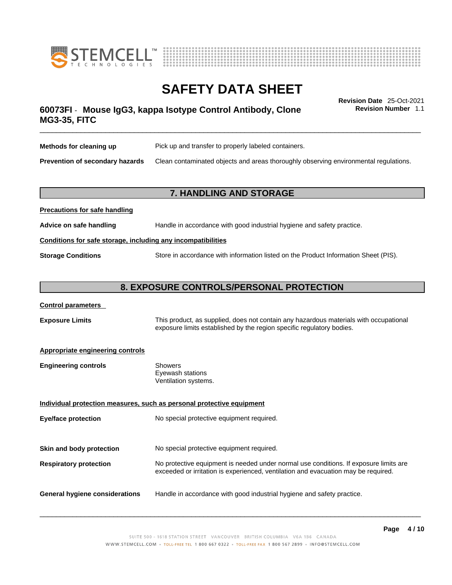



## \_\_\_\_\_\_\_\_\_\_\_\_\_\_\_\_\_\_\_\_\_\_\_\_\_\_\_\_\_\_\_\_\_\_\_\_\_\_\_\_\_\_\_\_\_\_\_\_\_\_\_\_\_\_\_\_\_\_\_\_\_\_\_\_\_\_\_\_\_\_\_\_\_\_\_\_\_\_\_\_\_\_\_\_\_\_\_\_\_\_\_\_\_ **Revision Date** 25-Oct-2021 **60073FI** - **Mouse IgG3, kappa Isotype Control Antibody, Clone MG3-35, FITC**

**Revision Number** 1.1

| Methods for cleaning up         | Pick up and transfer to properly labeled containers.                                 |
|---------------------------------|--------------------------------------------------------------------------------------|
| Prevention of secondary hazards | Clean contaminated objects and areas thoroughly observing environmental regulations. |

### **7. HANDLING AND STORAGE**

| Advice on safe handling   | Handle in accordance with good industrial hygiene and safety practice.              |  |
|---------------------------|-------------------------------------------------------------------------------------|--|
|                           | Conditions for safe storage, including any incompatibilities                        |  |
| <b>Storage Conditions</b> | Store in accordance with information listed on the Product Information Sheet (PIS). |  |

### **8. EXPOSURE CONTROLS/PERSONAL PROTECTION**

#### **Control parameters**

**Precautions for safe handling**

**Exposure Limits** This product, as supplied, does not contain any hazardous materials with occupational exposure limits established by the region specific regulatory bodies.

#### **Appropriate engineering controls**

| Showers              |  |
|----------------------|--|
| Eyewash stations     |  |
| Ventilation systems. |  |
|                      |  |

**Individual protection measures, such as personal protective equipment Eye/face protection** No special protective equipment required. **Skin and body protection** No special protective equipment required. **Respiratory protection** No protective equipment is needed under normal use conditions. If exposure limits are exceeded or irritation is experienced, ventilation and evacuation may be required. **General hygiene considerations** Handle in accordance with good industrial hygiene and safety practice.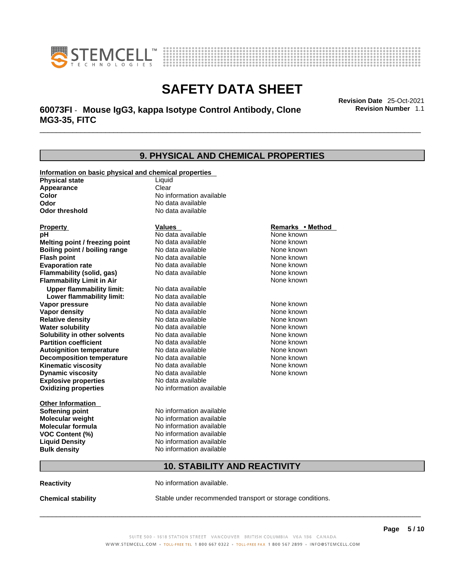



## \_\_\_\_\_\_\_\_\_\_\_\_\_\_\_\_\_\_\_\_\_\_\_\_\_\_\_\_\_\_\_\_\_\_\_\_\_\_\_\_\_\_\_\_\_\_\_\_\_\_\_\_\_\_\_\_\_\_\_\_\_\_\_\_\_\_\_\_\_\_\_\_\_\_\_\_\_\_\_\_\_\_\_\_\_\_\_\_\_\_\_\_\_ **Revision Date** 25-Oct-2021 **60073FI** - **Mouse IgG3, kappa Isotype Control Antibody, Clone MG3-35, FITC**

**9. PHYSICAL AND CHEMICAL PROPERTIES Information on basic physical and chemical properties Physical state** Liquid **Appearance** Clear<br> **Color** No int **Color Color Color Color Color Color Color No** data available **Odor Odor Constanting Codor Constanting Codor Codor Codor Codor Codor Codor Codor Codor Codor Codor Codor Codor Codor Codor Codor Codor Codor Codor Codor Codor Codor Codor Codor No data available Explosive properties** No data available **Oxidizing properties** No information available **Other Information Softening point** No information available **Molecular weight** No information available **Molecular formula** No information available<br>**VOC Content (%)** No information available **VOC** Content (%) **Liquid Density** No information available **Bulk density No information available 10. STABILITY AND REACTIVITY Property CONSIDERENT VALUES PROPERTY Remarks •** Method **pH** No data available None known **Melting point / freezing point Boiling point / boiling range Modata available None known Flash point Communist Communist Communist Communist Communist Communist Communist Communist Communist Communist Communist Communist Communist Communist Communist Communist Communist Communist Communist Communist Communi Evaporation rate Conservential School** None and None known<br> **Flammability (solid. gas)** No data available **None known** None known **Flammability (solid, gas)** No data available None known **Flammability Limit in Air None known None known Upper flammability limit:** No data available **Lower flammability limit:** No data available **Vapor pressure No data available None known Vapor density Notata available None known Relative density No data available None known Water solubility No data available Mone known**<br> **Solubility in other solvents** No data available None known None known **Solubility in other solvents** No data available **None known**<br> **Partition coefficient** No data available None known **Partition coefficient**<br>**Autoignition temperature** No data available **Autoignition temperature** Mo data available Mone known<br> **Decomposition temperature** No data available None Known **Decomposition temperature** No data available None known<br> **Kinematic viscosity** No data available None known **Kinematic viscosity** No data available<br> **Dynamic viscosity** No data available **Dynamic viscosity** None known

**Reactivity No information available.** 

**Chemical stability** Stable under recommended transport or storage conditions.

 $\_$  ,  $\_$  ,  $\_$  ,  $\_$  ,  $\_$  ,  $\_$  ,  $\_$  ,  $\_$  ,  $\_$  ,  $\_$  ,  $\_$  ,  $\_$  ,  $\_$  ,  $\_$  ,  $\_$  ,  $\_$  ,  $\_$  ,  $\_$  ,  $\_$  ,  $\_$  ,  $\_$  ,  $\_$  ,  $\_$  ,  $\_$  ,  $\_$  ,  $\_$  ,  $\_$  ,  $\_$  ,  $\_$  ,  $\_$  ,  $\_$  ,  $\_$  ,  $\_$  ,  $\_$  ,  $\_$  ,  $\_$  ,  $\_$  ,

**Revision Number** 1.1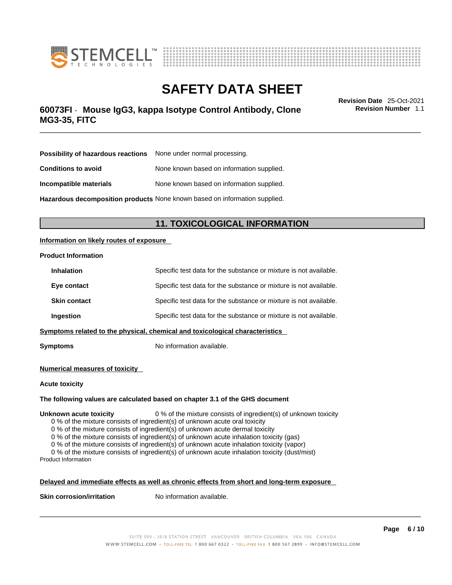



## \_\_\_\_\_\_\_\_\_\_\_\_\_\_\_\_\_\_\_\_\_\_\_\_\_\_\_\_\_\_\_\_\_\_\_\_\_\_\_\_\_\_\_\_\_\_\_\_\_\_\_\_\_\_\_\_\_\_\_\_\_\_\_\_\_\_\_\_\_\_\_\_\_\_\_\_\_\_\_\_\_\_\_\_\_\_\_\_\_\_\_\_\_ **Revision Date** 25-Oct-2021 **60073FI** - **Mouse IgG3, kappa Isotype Control Antibody, Clone MG3-35, FITC**

**Revision Number** 1.1

| <b>Possibility of hazardous reactions</b> None under normal processing. |                                           |
|-------------------------------------------------------------------------|-------------------------------------------|
| <b>Conditions to avoid</b>                                              | None known based on information supplied. |
| Incompatible materials                                                  | None known based on information supplied. |

**Hazardous decomposition products** None known based on information supplied.

### **11. TOXICOLOGICAL INFORMATION**

#### **Information on likely routes of exposure**

#### **Product Information**

| <b>Inhalation</b>                                                            | Specific test data for the substance or mixture is not available. |  |
|------------------------------------------------------------------------------|-------------------------------------------------------------------|--|
| Eye contact                                                                  | Specific test data for the substance or mixture is not available. |  |
| <b>Skin contact</b>                                                          | Specific test data for the substance or mixture is not available. |  |
| Ingestion                                                                    | Specific test data for the substance or mixture is not available. |  |
| Symptoms related to the physical, chemical and toxicological characteristics |                                                                   |  |

**Symptoms** No information available.

#### **Numerical measures of toxicity**

#### **Acute toxicity**

#### **The following values are calculated based on chapter 3.1 of the GHS document**

#### **Unknown acute toxicity** 0 % of the mixture consists of ingredient(s) of unknown toxicity

0 % of the mixture consists of ingredient(s) of unknown acute oral toxicity

0 % of the mixture consists of ingredient(s) of unknown acute dermal toxicity

0 % of the mixture consists of ingredient(s) of unknown acute inhalation toxicity (gas)

0 % of the mixture consists of ingredient(s) of unknown acute inhalation toxicity (vapor)

0 % of the mixture consists of ingredient(s) of unknown acute inhalation toxicity (dust/mist) Product Information

#### **Delayed and immediate effects as well as chronic effects from short and long-term exposure**

**Skin corrosion/irritation** No information available.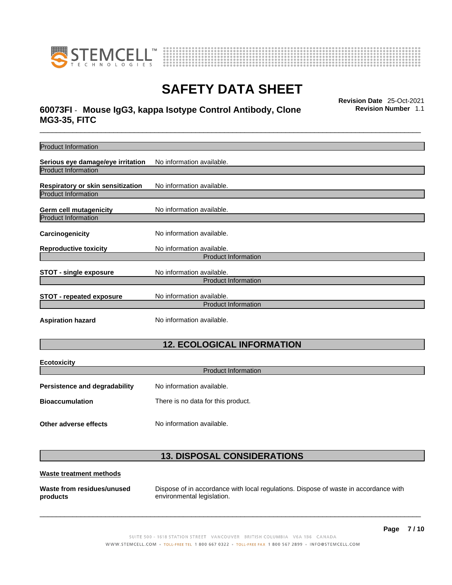



## \_\_\_\_\_\_\_\_\_\_\_\_\_\_\_\_\_\_\_\_\_\_\_\_\_\_\_\_\_\_\_\_\_\_\_\_\_\_\_\_\_\_\_\_\_\_\_\_\_\_\_\_\_\_\_\_\_\_\_\_\_\_\_\_\_\_\_\_\_\_\_\_\_\_\_\_\_\_\_\_\_\_\_\_\_\_\_\_\_\_\_\_\_ **Revision Date** 25-Oct-2021 **60073FI** - **Mouse IgG3, kappa Isotype Control Antibody, Clone MG3-35, FITC**

**Revision Number** 1.1

| <b>Product Information</b>                                      |                                    |  |
|-----------------------------------------------------------------|------------------------------------|--|
| Serious eye damage/eye irritation<br><b>Product Information</b> | No information available.          |  |
|                                                                 |                                    |  |
| Respiratory or skin sensitization                               | No information available.          |  |
| <b>Product Information</b>                                      |                                    |  |
| Germ cell mutagenicity                                          | No information available.          |  |
| <b>Product Information</b>                                      |                                    |  |
| Carcinogenicity                                                 | No information available.          |  |
| <b>Reproductive toxicity</b>                                    | No information available.          |  |
|                                                                 | <b>Product Information</b>         |  |
| <b>STOT - single exposure</b>                                   | No information available.          |  |
|                                                                 | <b>Product Information</b>         |  |
| <b>STOT - repeated exposure</b>                                 | No information available.          |  |
|                                                                 | <b>Product Information</b>         |  |
| <b>Aspiration hazard</b>                                        | No information available.          |  |
|                                                                 |                                    |  |
| <b>12. ECOLOGICAL INFORMATION</b>                               |                                    |  |
| <b>Ecotoxicity</b>                                              |                                    |  |
| <b>Product Information</b>                                      |                                    |  |
| <b>Persistence and degradability</b>                            | No information available.          |  |
| <b>Bioaccumulation</b>                                          | There is no data for this product. |  |
| Other adverse effects                                           | No information available.          |  |

## **13. DISPOSAL CONSIDERATIONS**

#### **Waste treatment methods**

**Waste from residues/unused products** 

Dispose of in accordance with local regulations. Dispose of waste in accordance with environmental legislation.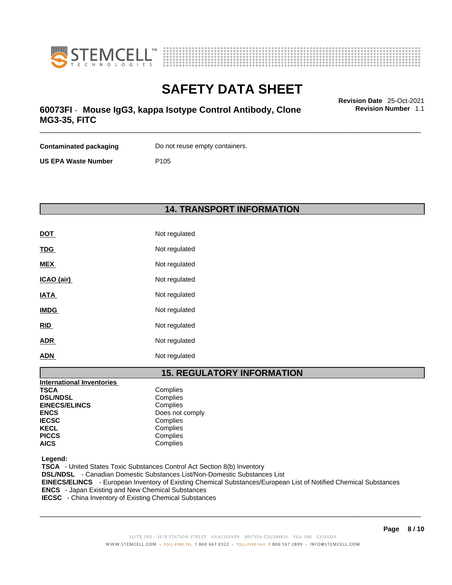



## \_\_\_\_\_\_\_\_\_\_\_\_\_\_\_\_\_\_\_\_\_\_\_\_\_\_\_\_\_\_\_\_\_\_\_\_\_\_\_\_\_\_\_\_\_\_\_\_\_\_\_\_\_\_\_\_\_\_\_\_\_\_\_\_\_\_\_\_\_\_\_\_\_\_\_\_\_\_\_\_\_\_\_\_\_\_\_\_\_\_\_\_\_ **Revision Date** 25-Oct-2021 **60073FI** - **Mouse IgG3, kappa Isotype Control Antibody, Clone MG3-35, FITC**

**Revision Number** 1.1

| <b>Contaminated packaging</b> | Do not reuse empty containers. |
|-------------------------------|--------------------------------|
| <b>US EPA Waste Number</b>    | P <sub>105</sub>               |

## **14. TRANSPORT INFORMATION**

| <b>DOT</b>  | Not regulated |
|-------------|---------------|
| <b>TDG</b>  | Not regulated |
| <b>MEX</b>  | Not regulated |
| ICAO (air)  | Not regulated |
| <b>IATA</b> | Not regulated |
| <b>IMDG</b> | Not regulated |
| <b>RID</b>  | Not regulated |
| <b>ADR</b>  | Not regulated |
| <b>ADN</b>  | Not regulated |

### **15. REGULATORY INFORMATION**

| <b>International Inventories</b> |                 |  |
|----------------------------------|-----------------|--|
| <b>TSCA</b>                      | Complies        |  |
| <b>DSL/NDSL</b>                  | Complies        |  |
| <b>EINECS/ELINCS</b>             | Complies        |  |
| <b>ENCS</b>                      | Does not comply |  |
| <b>IECSC</b>                     | Complies        |  |
| <b>KECL</b>                      | Complies        |  |
| <b>PICCS</b>                     | Complies        |  |
| <b>AICS</b>                      | Complies        |  |

 **Legend:** 

 **TSCA** - United States Toxic Substances Control Act Section 8(b) Inventory  **DSL/NDSL** - Canadian Domestic Substances List/Non-Domestic Substances List  **EINECS/ELINCS** - European Inventory of Existing Chemical Substances/European List of Notified Chemical Substances  **ENCS** - Japan Existing and New Chemical Substances

 **IECSC** - China Inventory of Existing Chemical Substances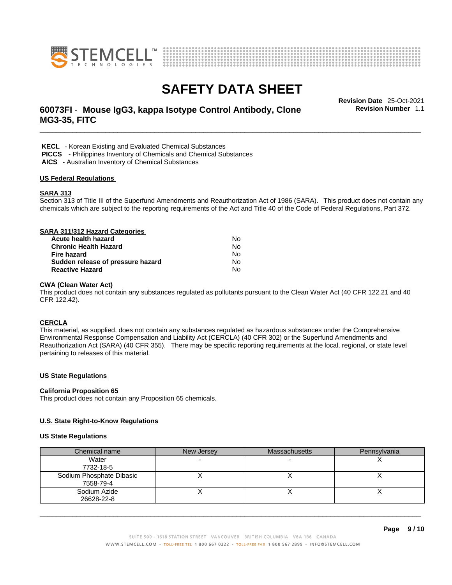



## \_\_\_\_\_\_\_\_\_\_\_\_\_\_\_\_\_\_\_\_\_\_\_\_\_\_\_\_\_\_\_\_\_\_\_\_\_\_\_\_\_\_\_\_\_\_\_\_\_\_\_\_\_\_\_\_\_\_\_\_\_\_\_\_\_\_\_\_\_\_\_\_\_\_\_\_\_\_\_\_\_\_\_\_\_\_\_\_\_\_\_\_\_ **Revision Date** 25-Oct-2021 **60073FI** - **Mouse IgG3, kappa Isotype Control Antibody, Clone MG3-35, FITC**

**Revision Number** 1.1

 **KECL** - Korean Existing and Evaluated Chemical Substances

 **PICCS** - Philippines Inventory of Chemicals and Chemical Substances

 **AICS** - Australian Inventory of Chemical Substances

#### **US Federal Regulations**

#### **SARA 313**

Section 313 of Title III of the Superfund Amendments and Reauthorization Act of 1986 (SARA). This product does not contain any chemicals which are subject to the reporting requirements of the Act and Title 40 of the Code of Federal Regulations, Part 372.

#### **SARA 311/312 Hazard Categories Acute health hazard** No

| Atult Healli Hazaru               | . <i>.</i> |  |
|-----------------------------------|------------|--|
| Chronic Health Hazard             | N٥         |  |
| Fire hazard                       | N٥         |  |
| Sudden release of pressure hazard | No.        |  |
| <b>Reactive Hazard</b>            | N٥         |  |

#### **CWA** (Clean Water Act)

This product does not contain any substances regulated as pollutants pursuant to the Clean Water Act (40 CFR 122.21 and 40 CFR 122.42).

#### **CERCLA**

This material, as supplied, does not contain any substances regulated as hazardous substances under the Comprehensive Environmental Response Compensation and Liability Act (CERCLA) (40 CFR 302) or the Superfund Amendments and Reauthorization Act (SARA) (40 CFR 355). There may be specific reporting requirements at the local, regional, or state level pertaining to releases of this material.

#### **US State Regulations**

#### **California Proposition 65**

This product does not contain any Proposition 65 chemicals.

#### **U.S. State Right-to-Know Regulations**

#### **US State Regulations**

| Chemical name            | New Jersey | <b>Massachusetts</b> | Pennsylvania |
|--------------------------|------------|----------------------|--------------|
| Water                    |            |                      |              |
| 7732-18-5                |            |                      |              |
| Sodium Phosphate Dibasic |            |                      |              |
| 7558-79-4                |            |                      |              |
| Sodium Azide             |            |                      |              |
| 26628-22-8               |            |                      |              |